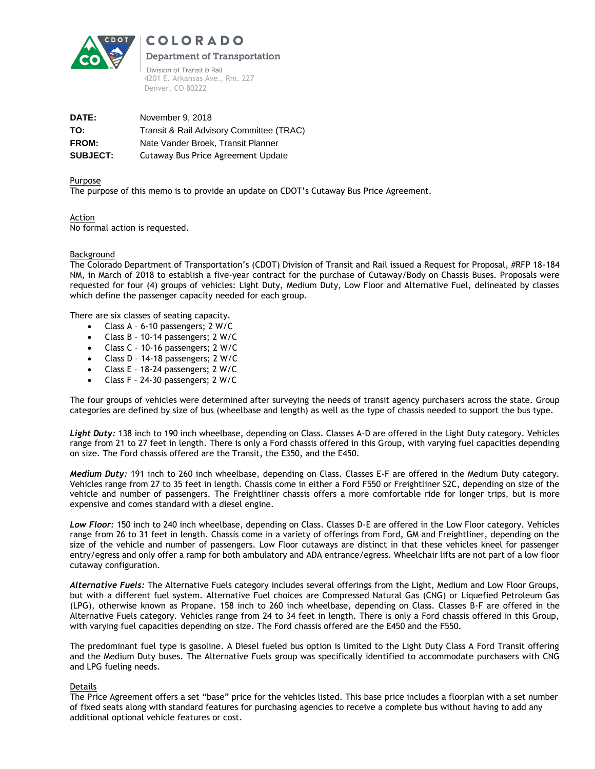

**COLORADO Department of Transportation** Division of Transit & Rail 4201 E. Arkansas Ave., Rm. 227

**DATE:** November 9, 2018 **TO:** Transit & Rail Advisory Committee (TRAC) **FROM:** Nate Vander Broek, Transit Planner **SUBJECT:** Cutaway Bus Price Agreement Update

Denver, CO 80222

## Purpose

The purpose of this memo is to provide an update on CDOT's Cutaway Bus Price Agreement.

Action No formal action is requested.

## Background

The Colorado Department of Transportation's (CDOT) Division of Transit and Rail issued a Request for Proposal, #RFP 18-184 NM, in March of 2018 to establish a five-year contract for the purchase of Cutaway/Body on Chassis Buses. Proposals were requested for four (4) groups of vehicles: Light Duty, Medium Duty, Low Floor and Alternative Fuel, delineated by classes which define the passenger capacity needed for each group.

There are six classes of seating capacity.

- Class A 6-10 passengers; 2 W/C
- Class B 10-14 passengers; 2 W/C
- Class C 10-16 passengers; 2 W/C
- Class D 14-18 passengers; 2 W/C
- Class E 18-24 passengers; 2 W/C
- Class F 24-30 passengers; 2 W/C

The four groups of vehicles were determined after surveying the needs of transit agency purchasers across the state. Group categories are defined by size of bus (wheelbase and length) as well as the type of chassis needed to support the bus type.

*Light Duty:* 138 inch to 190 inch wheelbase, depending on Class. Classes A-D are offered in the Light Duty category. Vehicles range from 21 to 27 feet in length. There is only a Ford chassis offered in this Group, with varying fuel capacities depending on size. The Ford chassis offered are the Transit, the E350, and the E450.

*Medium Duty:* 191 inch to 260 inch wheelbase, depending on Class. Classes E-F are offered in the Medium Duty category. Vehicles range from 27 to 35 feet in length. Chassis come in either a Ford F550 or Freightliner S2C, depending on size of the vehicle and number of passengers. The Freightliner chassis offers a more comfortable ride for longer trips, but is more expensive and comes standard with a diesel engine.

*Low Floor:* 150 inch to 240 inch wheelbase, depending on Class. Classes D-E are offered in the Low Floor category. Vehicles range from 26 to 31 feet in length. Chassis come in a variety of offerings from Ford, GM and Freightliner, depending on the size of the vehicle and number of passengers. Low Floor cutaways are distinct in that these vehicles kneel for passenger entry/egress and only offer a ramp for both ambulatory and ADA entrance/egress. Wheelchair lifts are not part of a low floor cutaway configuration.

*Alternative Fuels:* The Alternative Fuels category includes several offerings from the Light, Medium and Low Floor Groups, but with a different fuel system. Alternative Fuel choices are Compressed Natural Gas (CNG) or Liquefied Petroleum Gas (LPG), otherwise known as Propane. 158 inch to 260 inch wheelbase, depending on Class. Classes B-F are offered in the Alternative Fuels category. Vehicles range from 24 to 34 feet in length. There is only a Ford chassis offered in this Group, with varying fuel capacities depending on size. The Ford chassis offered are the E450 and the F550.

The predominant fuel type is gasoline. A Diesel fueled bus option is limited to the Light Duty Class A Ford Transit offering and the Medium Duty buses. The Alternative Fuels group was specifically identified to accommodate purchasers with CNG and LPG fueling needs.

## Details

The Price Agreement offers a set "base" price for the vehicles listed. This base price includes a floorplan with a set number of fixed seats along with standard features for purchasing agencies to receive a complete bus without having to add any additional optional vehicle features or cost.